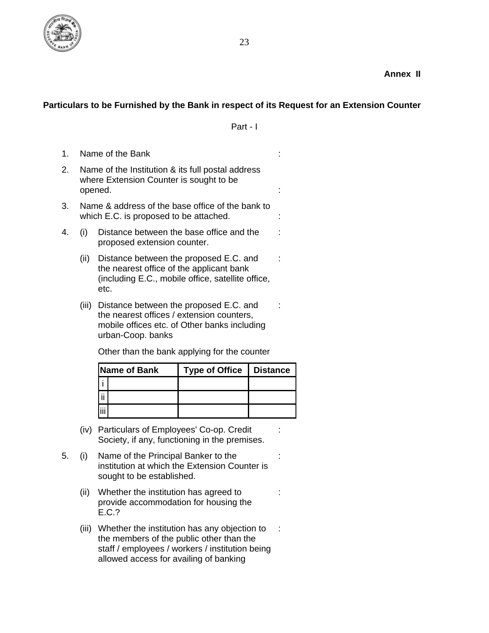

## **Particulars to be Furnished by the Bank in respect of its Request for an Extension Counter**

Part - I

:

:

:

:

:

:

- 1. Name of the Bank
- 2. Name of the Institution & its full postal address where Extension Counter is sought to be opened.
- 3. Name & address of the base office of the bank to which E.C. is proposed to be attached.
- 4. (i) Distance between the base office and the proposed extension counter.
	- (ii) Distance between the proposed E.C. and the nearest office of the applicant bank (including E.C., mobile office, satellite office, etc.
	- (iii) Distance between the proposed E.C. and the nearest offices / extension counters, mobile offices etc. of Other banks including urban-Coop. banks

Other than the bank applying for the counter

| Name of Bank |  | <b>Type of Office</b><br>Ш | <b>Distance</b> |
|--------------|--|----------------------------|-----------------|
|              |  |                            |                 |
|              |  |                            |                 |
|              |  |                            |                 |

- (iv) Particulars of Employees' Co-op. Credit Society, if any, functioning in the premises.
- 5. (i) Name of the Principal Banker to the institution at which the Extension Counter is sought to be established.
	- (ii) Whether the institution has agreed to provide accommodation for housing the E.C.?
	- (iii) Whether the institution has any objection to the members of the public other than the staff / employees / workers / institution being allowed access for availing of banking :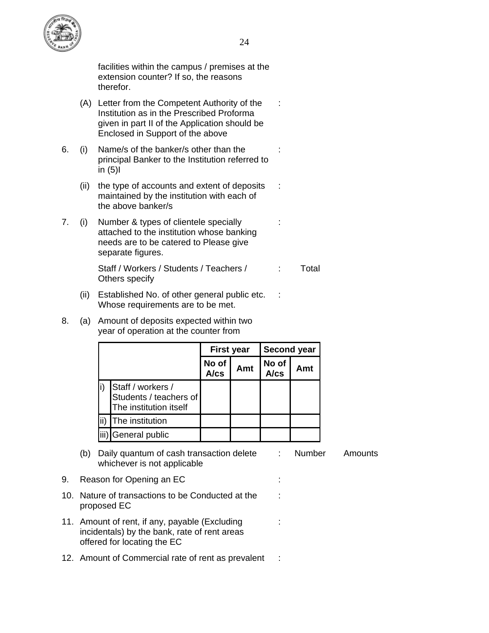

:

:

:

:

:

:

facilities within the campus / premises at the extension counter? If so, the reasons therefor.

- (A) Letter from the Competent Authority of the Institution as in the Prescribed Proforma given in part II of the Application should be Enclosed in Support of the above
- 6. (i) Name/s of the banker/s other than the principal Banker to the Institution referred to in  $(5)$ 
	- (ii) the type of accounts and extent of deposits maintained by the institution with each of the above banker/s
- 7. (i) Number & types of clientele specially attached to the institution whose banking needs are to be catered to Please give separate figures. :

Staff / Workers / Students / Teachers / Others specify : Total

- (ii) Established No. of other general public etc. Whose requirements are to be met.
- 8. (a) Amount of deposits expected within two year of operation at the counter from

|     |                                                                       | <b>First year</b> |     | <b>Second year</b> |     |
|-----|-----------------------------------------------------------------------|-------------------|-----|--------------------|-----|
|     |                                                                       | No of<br>A/cs     | Amt | No of<br>A/cs      | Amt |
|     | Staff / workers /<br>Students / teachers of<br>The institution itself |                   |     |                    |     |
| ii) | The institution                                                       |                   |     |                    |     |
|     | iii) General public                                                   |                   |     |                    |     |

- (b) Daily quantum of cash transaction delete whichever is not applicable : Number Amounts
- 9. Reason for Opening an EC : the state of the state of the state of the state of the state of the state of the state of the state of the state of the state of the state of the state of the state of the state of the state
- 10. Nature of transactions to be Conducted at the proposed EC
- 11. Amount of rent, if any, payable (Excluding incidentals) by the bank, rate of rent areas offered for locating the EC
- 12. Amount of Commercial rate of rent as prevalent :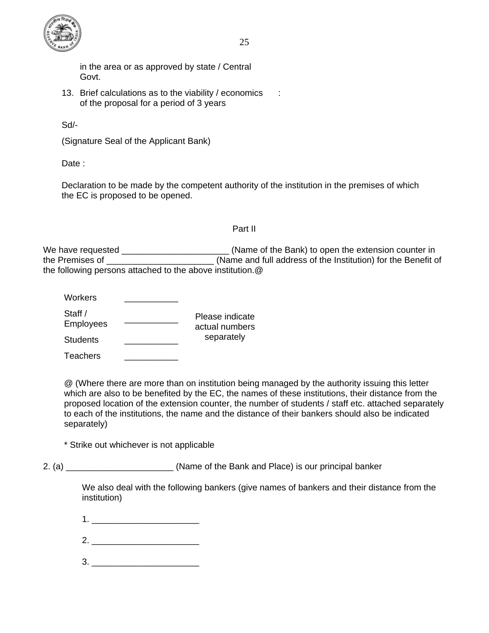

25

in the area or as approved by state / Central Govt.

13. Brief calculations as to the viability / economics of the proposal for a period of 3 years :

Sd/-

(Signature Seal of the Applicant Bank)

Date :

Declaration to be made by the competent authority of the institution in the premises of which the EC is proposed to be opened.

## Part II

We have requested \_\_\_\_\_\_\_\_\_\_\_\_\_\_\_\_\_\_\_\_\_\_\_\_\_\_(Name of the Bank) to open the extension counter in the Premises of \_\_\_\_\_\_\_\_\_\_\_\_\_\_\_\_\_\_\_\_\_\_ (Name and full address of the Institution) for the Benefit of the following persons attached to the above institution.@

| Workers                     |                                   |
|-----------------------------|-----------------------------------|
| Staff /<br><b>Employees</b> | Please indicate<br>actual numbers |
| <b>Students</b>             | separately                        |

Teachers \_\_\_\_\_\_\_\_\_\_\_

@ (Where there are more than on institution being managed by the authority issuing this letter which are also to be benefited by the EC, the names of these institutions, their distance from the proposed location of the extension counter, the number of students / staff etc. attached separately to each of the institutions, the name and the distance of their bankers should also be indicated separately)

\* Strike out whichever is not applicable

2. (a) 2. (a) and Solution (Name of the Bank and Place) is our principal banker

We also deal with the following bankers (give names of bankers and their distance from the institution)

- $1.$
- 2. \_\_\_\_\_\_\_\_\_\_\_\_\_\_\_\_\_\_\_\_\_\_
- $3.$